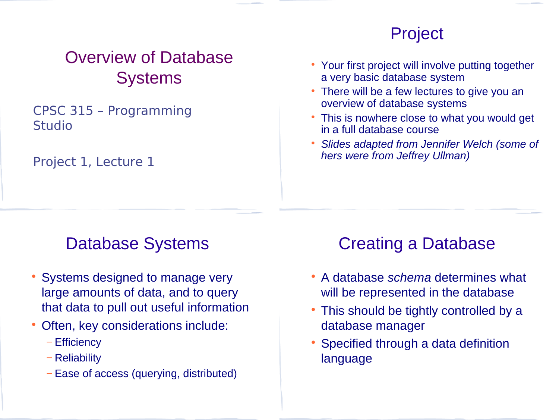## Overview of Database **Systems**

#### CPSC 315 – Programming Studio

Project 1, Lecture 1

### Project

- Your first project will involve putting together a very basic database system
- There will be a few lectures to give you an overview of database systems
- This is nowhere close to what you would get in a full database course
- *Slides adapted from Jennifer Welch (some of hers were from Jeffrey Ullman)*

## Database Systems

- Systems designed to manage very large amounts of data, and to query that data to pull out useful information
- Often, key considerations include:
	- − Efficiency
	- − Reliability
	- − Ease of access (querying, distributed)

# Creating a Database

- A database *schema* determines what will be represented in the database
- This should be tightly controlled by a database manager
- Specified through a data definition language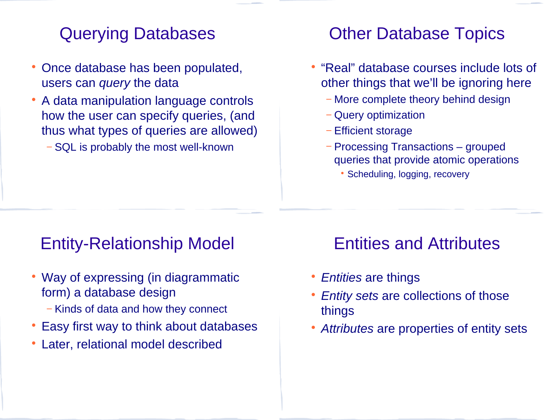### Querying Databases

- Once database has been populated, users can *query* the data
- A data manipulation language controls how the user can specify queries, (and thus what types of queries are allowed)
	- − SQL is probably the most well-known

### Other Database Topics

- "Real" database courses include lots of other things that we'll be ignoring here
	- − More complete theory behind design
	- − Query optimization
	- − Efficient storage
	- − Processing Transactions grouped queries that provide atomic operations
		- Scheduling, logging, recovery

### Entity-Relationship Model

- Way of expressing (in diagrammatic form) a database design
	- − Kinds of data and how they connect
- Easy first way to think about databases
- Later, relational model described

### Entities and Attributes

- *Entities* are things
- *Entity sets* are collections of those things
- *Attributes* are properties of entity sets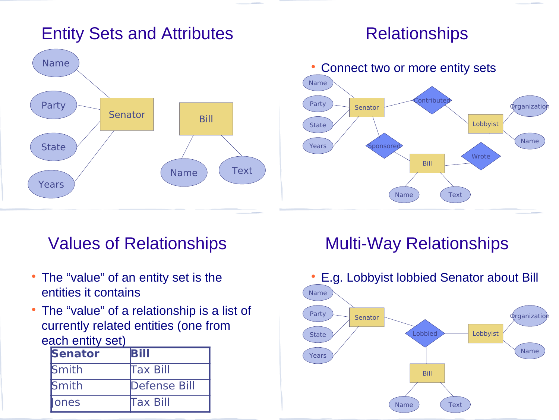### Entity Sets and Attributes

#### **Relationships**



### Values of Relationships

- The "value" of an entity set is the entities it contains
- The "value" of a relationship is a list of currently related entities (one from each entity set)

| <b>Senator</b> | <b>Bill</b>     |
|----------------|-----------------|
| <b>Smith</b>   | <b>Tax Bill</b> |
| <b>Smith</b>   | Defense Bill    |
| ones           | <b>Tax Bill</b> |

## Multi-Way Relationships

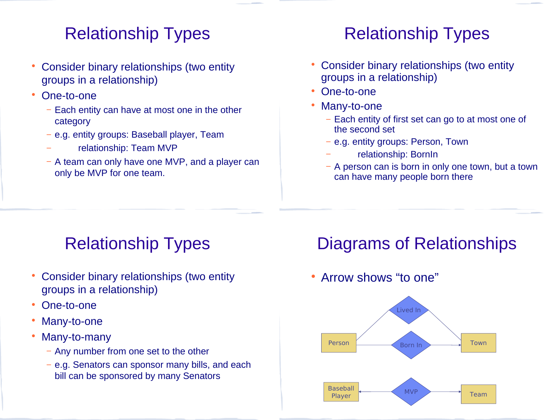## Relationship Types

- Consider binary relationships (two entity groups in a relationship)
- One-to-one
	- − Each entity can have at most one in the other category
	- − e.g. entity groups: Baseball player, Team
	- − relationship: Team MVP
	- − A team can only have one MVP, and a player can only be MVP for one team.

## Relationship Types

- Consider binary relationships (two entity groups in a relationship)
- One-to-one
- Many-to-one
	- − Each entity of first set can go to at most one of the second set
	- − e.g. entity groups: Person, Town
		- − relationship: BornIn
	- − A person can is born in only one town, but a town can have many people born there

# Relationship Types

- Consider binary relationships (two entity groups in a relationship)
- One-to-one
- Many-to-one
- Many-to-many
	- − Any number from one set to the other
	- − e.g. Senators can sponsor many bills, and each bill can be sponsored by many Senators

## Diagrams of Relationships

#### Arrow shows "to one"

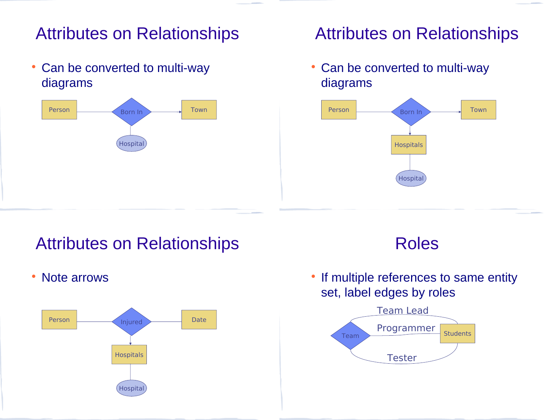### Attributes on Relationships

 Can be converted to multi-way diagrams



### Attributes on Relationships

• Can be converted to multi-way diagrams



### Attributes on Relationships

• Note arrows



#### Roles

• If multiple references to same entity set, label edges by roles

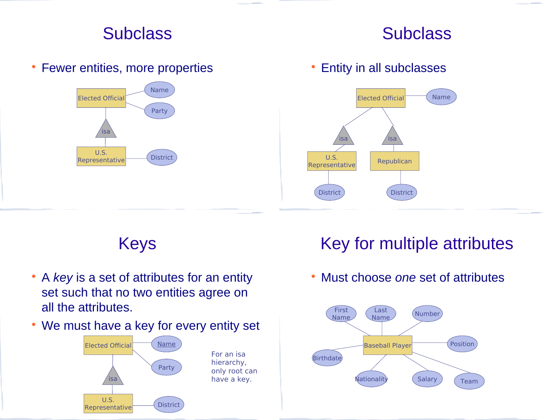### **Subclass**



• Fewer entities, more properties

#### U.S. Representative District Elected Official Name Party isa

#### • Entity in all subclasses



Keys

- A *key* is a set of attributes for an entity set such that no two entities agree on all the attributes.
- We must have a key for every entity set



## Key for multiple attributes

Must choose *one* set of attributes

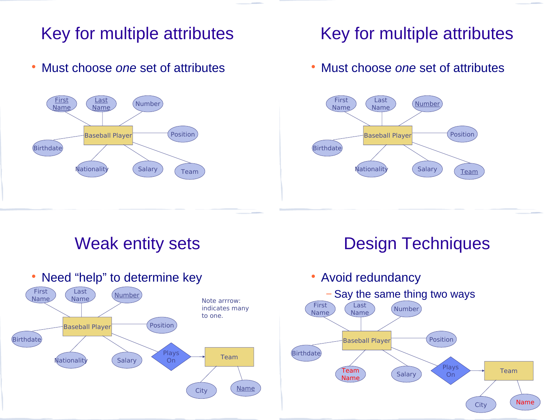## Key for multiple attributes

Must choose *one* set of attributes



### Key for multiple attributes

Must choose *one* set of attributes



### Weak entity sets



## Design Techniques

Avoid redundancy